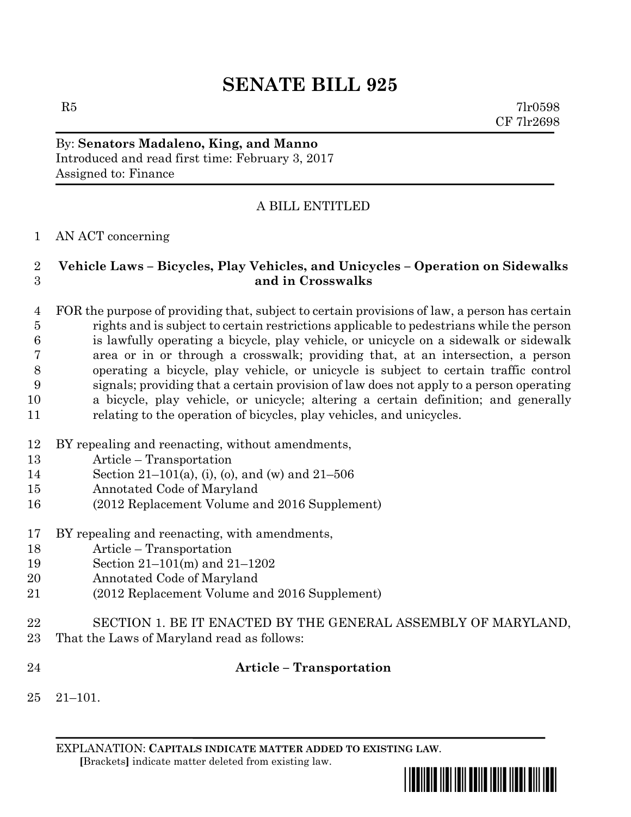# **SENATE BILL 925**

 $R5$  7lr0598 CF 7lr2698

By: **Senators Madaleno, King, and Manno** Introduced and read first time: February 3, 2017 Assigned to: Finance

## A BILL ENTITLED

#### AN ACT concerning

### **Vehicle Laws – Bicycles, Play Vehicles, and Unicycles – Operation on Sidewalks and in Crosswalks**

 FOR the purpose of providing that, subject to certain provisions of law, a person has certain rights and is subject to certain restrictions applicable to pedestrians while the person is lawfully operating a bicycle, play vehicle, or unicycle on a sidewalk or sidewalk area or in or through a crosswalk; providing that, at an intersection, a person operating a bicycle, play vehicle, or unicycle is subject to certain traffic control signals; providing that a certain provision of law does not apply to a person operating a bicycle, play vehicle, or unicycle; altering a certain definition; and generally relating to the operation of bicycles, play vehicles, and unicycles.

- BY repealing and reenacting, without amendments,
- Article Transportation
- Section 21–101(a), (i), (o), and (w) and 21–506
- Annotated Code of Maryland
- (2012 Replacement Volume and 2016 Supplement)
- BY repealing and reenacting, with amendments,
- Article Transportation
- Section 21–101(m) and 21–1202
- Annotated Code of Maryland
- (2012 Replacement Volume and 2016 Supplement)
- SECTION 1. BE IT ENACTED BY THE GENERAL ASSEMBLY OF MARYLAND, That the Laws of Maryland read as follows:
- **Article – Transportation**
- 21–101.

EXPLANATION: **CAPITALS INDICATE MATTER ADDED TO EXISTING LAW**.  **[**Brackets**]** indicate matter deleted from existing law.

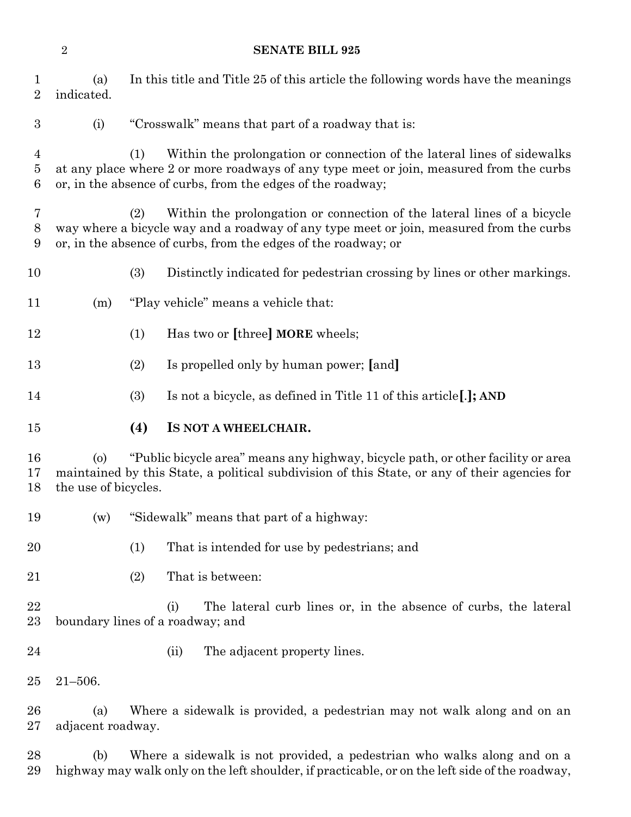**SENATE BILL 925**

 (a) In this title and Title 25 of this article the following words have the meanings indicated. (i) "Crosswalk" means that part of a roadway that is: (1) Within the prolongation or connection of the lateral lines of sidewalks at any place where 2 or more roadways of any type meet or join, measured from the curbs or, in the absence of curbs, from the edges of the roadway; (2) Within the prolongation or connection of the lateral lines of a bicycle way where a bicycle way and a roadway of any type meet or join, measured from the curbs or, in the absence of curbs, from the edges of the roadway; or (3) Distinctly indicated for pedestrian crossing by lines or other markings. (m) "Play vehicle" means a vehicle that: (1) Has two or **[**three**] MORE** wheels; (2) Is propelled only by human power; **[**and**]** (3) Is not a bicycle, as defined in Title 11 of this article**[**.**]; AND (4) IS NOT A WHEELCHAIR.** (o) "Public bicycle area" means any highway, bicycle path, or other facility or area maintained by this State, a political subdivision of this State, or any of their agencies for the use of bicycles. (w) "Sidewalk" means that part of a highway: (1) That is intended for use by pedestrians; and (2) That is between: (i) The lateral curb lines or, in the absence of curbs, the lateral boundary lines of a roadway; and 24 (ii) The adjacent property lines. 21–506. (a) Where a sidewalk is provided, a pedestrian may not walk along and on an adjacent roadway. (b) Where a sidewalk is not provided, a pedestrian who walks along and on a highway may walk only on the left shoulder, if practicable, or on the left side of the roadway,